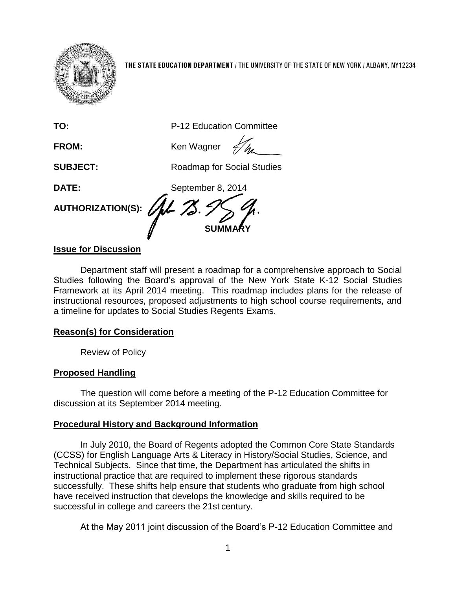

**THE STATE EDUCATION DEPARTMENT** / THE UNIVERSITY OF THE STATE OF NEW YORK / ALBANY, NY12234

**TO:** P-12 Education Committee

**FROM:** Ken Wagner

**SUBJECT:** Roadmap for Social Studies

**DATE:** September 8, 2014

**AUTHORIZATION(S):**

# **Issue for Discussion**

Department staff will present a roadmap for a comprehensive approach to Social Studies following the Board's approval of the New York State K-12 Social Studies Framework at its April 2014 meeting. This roadmap includes plans for the release of instructional resources, proposed adjustments to high school course requirements, and a timeline for updates to Social Studies Regents Exams.

**SUMMARY**

# **Reason(s) for Consideration**

Review of Policy

## **Proposed Handling**

The question will come before a meeting of the P-12 Education Committee for discussion at its September 2014 meeting.

## **Procedural History and Background Information**

In July 2010, the Board of Regents adopted the Common Core State Standards (CCSS) for English Language Arts & Literacy in History/Social Studies, Science, and Technical Subjects. Since that time, the Department has articulated the shifts in instructional practice that are required to implement these rigorous standards successfully. These shifts help ensure that students who graduate from high school have received instruction that develops the knowledge and skills required to be successful in college and careers the 21st century.

At the May 2011 joint discussion of the Board's P-12 Education Committee and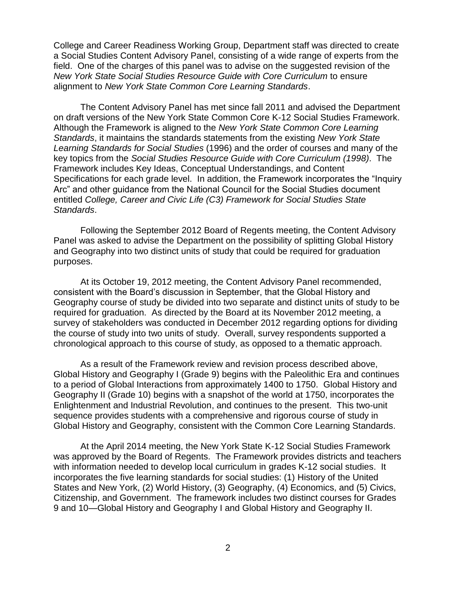College and Career Readiness Working Group, Department staff was directed to create a Social Studies Content Advisory Panel, consisting of a wide range of experts from the field. One of the charges of this panel was to advise on the suggested revision of the *New York State Social Studies Resource Guide with Core Curriculum* to ensure alignment to *New York State Common Core Learning Standards*.

The Content Advisory Panel has met since fall 2011 and advised the Department on draft versions of the New York State Common Core K-12 Social Studies Framework. Although the Framework is aligned to the *New York State Common Core Learning Standards*, it maintains the standards statements from the existing *New York State Learning Standards for Social Studies* (1996) and the order of courses and many of the key topics from the *Social Studies Resource Guide with Core Curriculum (1998)*. The Framework includes Key Ideas, Conceptual Understandings, and Content Specifications for each grade level. In addition, the Framework incorporates the "Inquiry Arc" and other guidance from the National Council for the Social Studies document entitled *College, Career and Civic Life (C3) Framework for Social Studies State Standards*.

Following the September 2012 Board of Regents meeting, the Content Advisory Panel was asked to advise the Department on the possibility of splitting Global History and Geography into two distinct units of study that could be required for graduation purposes.

At its October 19, 2012 meeting, the Content Advisory Panel recommended, consistent with the Board's discussion in September, that the Global History and Geography course of study be divided into two separate and distinct units of study to be required for graduation. As directed by the Board at its November 2012 meeting, a survey of stakeholders was conducted in December 2012 regarding options for dividing the course of study into two units of study. Overall, survey respondents supported a chronological approach to this course of study, as opposed to a thematic approach.

As a result of the Framework review and revision process described above, Global History and Geography I (Grade 9) begins with the Paleolithic Era and continues to a period of Global Interactions from approximately 1400 to 1750. Global History and Geography II (Grade 10) begins with a snapshot of the world at 1750, incorporates the Enlightenment and Industrial Revolution, and continues to the present. This two-unit sequence provides students with a comprehensive and rigorous course of study in Global History and Geography, consistent with the Common Core Learning Standards.

At the April 2014 meeting, the New York State K-12 Social Studies Framework was approved by the Board of Regents. The Framework provides districts and teachers with information needed to develop local curriculum in grades K-12 social studies. It incorporates the five learning standards for social studies: (1) History of the United States and New York, (2) World History, (3) Geography, (4) Economics, and (5) Civics, Citizenship, and Government. The framework includes two distinct courses for Grades 9 and 10—Global History and Geography I and Global History and Geography II.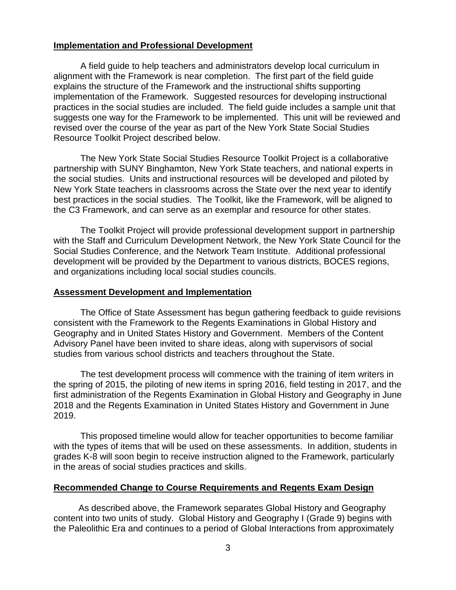### **Implementation and Professional Development**

A field guide to help teachers and administrators develop local curriculum in alignment with the Framework is near completion. The first part of the field guide explains the structure of the Framework and the instructional shifts supporting implementation of the Framework. Suggested resources for developing instructional practices in the social studies are included. The field guide includes a sample unit that suggests one way for the Framework to be implemented. This unit will be reviewed and revised over the course of the year as part of the New York State Social Studies Resource Toolkit Project described below.

The New York State Social Studies Resource Toolkit Project is a collaborative partnership with SUNY Binghamton, New York State teachers, and national experts in the social studies. Units and instructional resources will be developed and piloted by New York State teachers in classrooms across the State over the next year to identify best practices in the social studies. The Toolkit, like the Framework, will be aligned to the C3 Framework, and can serve as an exemplar and resource for other states.

The Toolkit Project will provide professional development support in partnership with the Staff and Curriculum Development Network, the New York State Council for the Social Studies Conference, and the Network Team Institute. Additional professional development will be provided by the Department to various districts, BOCES regions, and organizations including local social studies councils.

#### **Assessment Development and Implementation**

The Office of State Assessment has begun gathering feedback to guide revisions consistent with the Framework to the Regents Examinations in Global History and Geography and in United States History and Government. Members of the Content Advisory Panel have been invited to share ideas, along with supervisors of social studies from various school districts and teachers throughout the State.

The test development process will commence with the training of item writers in the spring of 2015, the piloting of new items in spring 2016, field testing in 2017, and the first administration of the Regents Examination in Global History and Geography in June 2018 and the Regents Examination in United States History and Government in June 2019.

This proposed timeline would allow for teacher opportunities to become familiar with the types of items that will be used on these assessments. In addition, students in grades K-8 will soon begin to receive instruction aligned to the Framework, particularly in the areas of social studies practices and skills.

#### **Recommended Change to Course Requirements and Regents Exam Design**

 As described above, the Framework separates Global History and Geography content into two units of study. Global History and Geography I (Grade 9) begins with the Paleolithic Era and continues to a period of Global Interactions from approximately